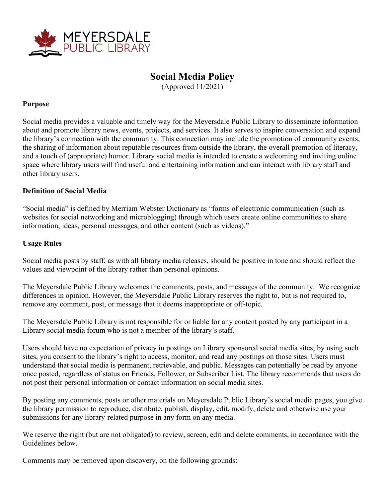

## **Social Media Policy**

(Approved 11/2021)

## **Purpose**

Social media provides a valuable and timely way for the Meyersdale Public Library to disseminate information about and promote library news, events, projects, and services. It also serves to inspire conversation and expand the library's connection with the community. This connection may include the promotion of community events, the sharing of information about reputable resources from outside the library, the overall promotion of literacy, and a touch of (appropriate) humor. Library social media is intended to create a welcoming and inviting online space where library users will find useful and entertaining information and can interact with library staff and other library users.

## **Definition of Social Media**

"Social media" is defined by Merriam Webster [Dictionary](https://www.merriam-webster.com/dictionary/social%20media) as "forms of electronic communication (such as websites for social networking and microblogging) through which users create online communities to share information, ideas, personal messages, and other content (such as videos)."

## **Usage Rules**

Social media posts by staff, as with all library media releases, should be positive in tone and should reflect the values and viewpoint of the library rather than personal opinions.

The Meyersdale Public Library welcomes the comments, posts, and messages of the community. We recognize differences in opinion. However, the Meyersdale Public Library reserves the right to, but is not required to, remove any comment, post, or message that it deems inappropriate or off-topic.

The Meyersdale Public Library is not responsible for or liable for any content posted by any participant in a Library social media forum who is not a member of the library's staff.

Users should have no expectation of privacy in postings on Library sponsored social media sites; by using such sites, you consent to the library's right to access, monitor, and read any postings on those sites. Users must understand that social media is permanent, retrievable, and public. Messages can potentially be read by anyone once posted, regardless of status on Friends, Follower, or Subscriber List. The library recommends that users do not post their personal information or contact information on social media sites.

By posting any comments, posts or other materials on Meyersdale Public Library's social media pages, you give the library permission to reproduce, distribute, publish, display, edit, modify, delete and otherwise use your submissions for any library-related purpose in any form on any media.

We reserve the right (but are not obligated) to review, screen, edit and delete comments, in accordance with the Guidelines below.

Comments may be removed upon discovery, on the following grounds: